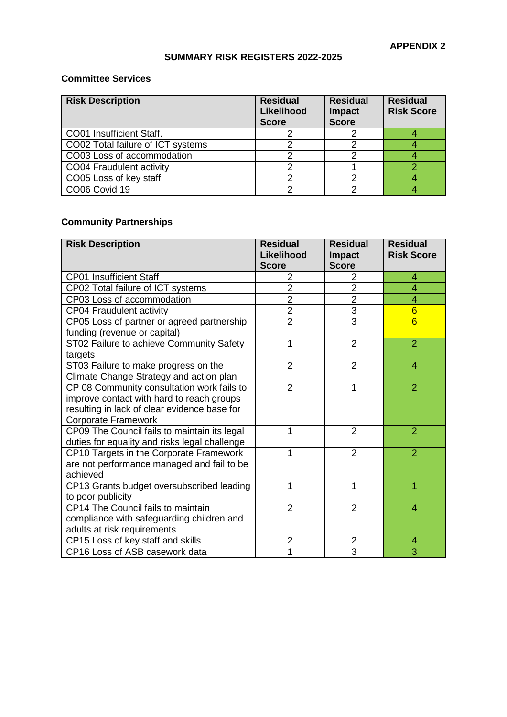### **SUMMARY RISK REGISTERS 2022-2025**

#### **Committee Services**

| <b>Risk Description</b>           | <b>Residual</b><br>Likelihood<br><b>Score</b> | <b>Residual</b><br>Impact<br><b>Score</b> | <b>Residual</b><br><b>Risk Score</b> |
|-----------------------------------|-----------------------------------------------|-------------------------------------------|--------------------------------------|
| CO01 Insufficient Staff.          |                                               |                                           |                                      |
| CO02 Total failure of ICT systems |                                               |                                           |                                      |
| CO03 Loss of accommodation        |                                               |                                           |                                      |
| CO04 Fraudulent activity          |                                               |                                           |                                      |
| CO05 Loss of key staff            |                                               |                                           |                                      |
| CO06 Covid 19                     |                                               |                                           |                                      |

# **Community Partnerships**

| <b>Risk Description</b>                                                                                                                                               | <b>Residual</b><br>Likelihood<br><b>Score</b> | <b>Residual</b><br><b>Impact</b><br><b>Score</b> | <b>Residual</b><br><b>Risk Score</b> |
|-----------------------------------------------------------------------------------------------------------------------------------------------------------------------|-----------------------------------------------|--------------------------------------------------|--------------------------------------|
| <b>CP01 Insufficient Staff</b>                                                                                                                                        | 2                                             | 2                                                | 4                                    |
| CP02 Total failure of ICT systems                                                                                                                                     | $\overline{2}$                                | $\overline{2}$                                   | $\overline{4}$                       |
| CP03 Loss of accommodation                                                                                                                                            | $\overline{2}$                                | $\overline{2}$                                   | 4                                    |
| <b>CP04 Fraudulent activity</b>                                                                                                                                       | $\overline{2}$                                | $\overline{3}$                                   | $6\overline{6}$                      |
| CP05 Loss of partner or agreed partnership<br>funding (revenue or capital)                                                                                            | $\overline{2}$                                | 3                                                | $6\overline{6}$                      |
| ST02 Failure to achieve Community Safety<br>targets                                                                                                                   | 1                                             | $\overline{2}$                                   | $\overline{2}$                       |
| ST03 Failure to make progress on the<br>Climate Change Strategy and action plan                                                                                       | $\overline{2}$                                | $\overline{2}$                                   | 4                                    |
| CP 08 Community consultation work fails to<br>improve contact with hard to reach groups<br>resulting in lack of clear evidence base for<br><b>Corporate Framework</b> | $\overline{2}$                                |                                                  | $\overline{2}$                       |
| CP09 The Council fails to maintain its legal<br>duties for equality and risks legal challenge                                                                         | 1                                             | $\overline{2}$                                   | $\overline{2}$                       |
| CP10 Targets in the Corporate Framework<br>are not performance managed and fail to be<br>achieved                                                                     |                                               | $\overline{2}$                                   | $\overline{2}$                       |
| CP13 Grants budget oversubscribed leading<br>to poor publicity                                                                                                        | 1                                             | 1                                                | 1                                    |
| CP14 The Council fails to maintain<br>compliance with safeguarding children and<br>adults at risk requirements                                                        | $\overline{2}$                                | $\overline{2}$                                   | 4                                    |
| CP15 Loss of key staff and skills                                                                                                                                     | $\overline{2}$                                | $\overline{2}$                                   | 4                                    |
| CP16 Loss of ASB casework data                                                                                                                                        | 1                                             | $\overline{3}$                                   | $\overline{3}$                       |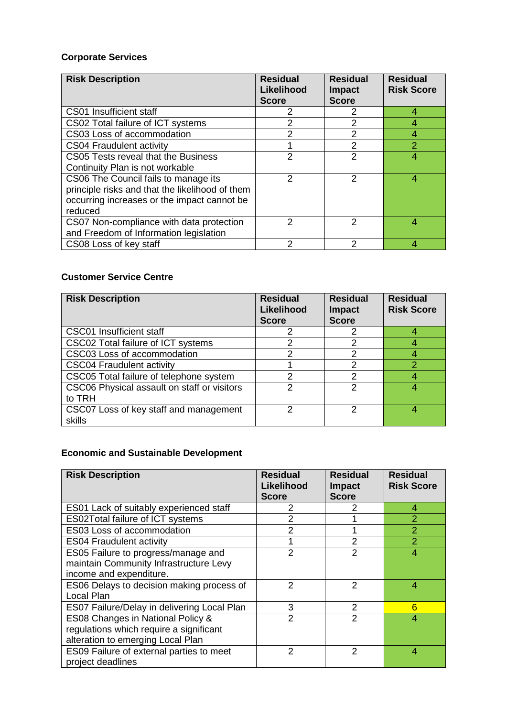## **Corporate Services**

| <b>Risk Description</b>                         | <b>Residual</b><br>Likelihood<br><b>Score</b> | <b>Residual</b><br><b>Impact</b><br><b>Score</b> | <b>Residual</b><br><b>Risk Score</b> |
|-------------------------------------------------|-----------------------------------------------|--------------------------------------------------|--------------------------------------|
| CS01 Insufficient staff                         | 2                                             | 2                                                | 4                                    |
| CS02 Total failure of ICT systems               | 2                                             |                                                  | 4                                    |
| CS03 Loss of accommodation                      | 2                                             | 2                                                | 4                                    |
| <b>CS04 Fraudulent activity</b>                 |                                               | 2                                                | $\overline{2}$                       |
| CS05 Tests reveal that the Business             | 2                                             | $\mathfrak{p}$                                   | 4                                    |
| Continuity Plan is not workable                 |                                               |                                                  |                                      |
| CS06 The Council fails to manage its            | 2                                             | 2                                                | 4                                    |
| principle risks and that the likelihood of them |                                               |                                                  |                                      |
| occurring increases or the impact cannot be     |                                               |                                                  |                                      |
| reduced                                         |                                               |                                                  |                                      |
| CS07 Non-compliance with data protection        | 2                                             | 2                                                | 4                                    |
| and Freedom of Information legislation          |                                               |                                                  |                                      |
| CS08 Loss of key staff                          | 2                                             | 2                                                | 4                                    |

### **Customer Service Centre**

| <b>Risk Description</b>                               | <b>Residual</b><br>Likelihood<br><b>Score</b> | <b>Residual</b><br><b>Impact</b><br><b>Score</b> | <b>Residual</b><br><b>Risk Score</b> |
|-------------------------------------------------------|-----------------------------------------------|--------------------------------------------------|--------------------------------------|
| CSC01 Insufficient staff                              | 2                                             |                                                  |                                      |
| CSC02 Total failure of ICT systems                    | 2                                             | っ                                                |                                      |
| CSC03 Loss of accommodation                           | 2                                             | 2                                                |                                      |
| <b>CSC04 Fraudulent activity</b>                      |                                               | 2                                                | 2                                    |
| CSC05 Total failure of telephone system               | 2                                             | っ                                                |                                      |
| CSC06 Physical assault on staff or visitors<br>to TRH | っ                                             | っ                                                |                                      |
| CSC07 Loss of key staff and management<br>skills      | っ                                             | っ                                                |                                      |

### **Economic and Sustainable Development**

| <b>Risk Description</b>                     | <b>Residual</b><br>Likelihood<br><b>Score</b> | <b>Residual</b><br><b>Impact</b><br><b>Score</b> | <b>Residual</b><br><b>Risk Score</b> |
|---------------------------------------------|-----------------------------------------------|--------------------------------------------------|--------------------------------------|
| ES01 Lack of suitably experienced staff     | 2                                             |                                                  | 4                                    |
| <b>ES02Total failure of ICT systems</b>     | $\overline{2}$                                |                                                  | $\overline{2}$                       |
| ES03 Loss of accommodation                  | $\overline{2}$                                |                                                  | $\overline{2}$                       |
| <b>ES04 Fraudulent activity</b>             | 1                                             | $\overline{2}$                                   | $\overline{2}$                       |
| ES05 Failure to progress/manage and         | $\mathcal{P}$                                 | 2                                                | $\overline{A}$                       |
| maintain Community Infrastructure Levy      |                                               |                                                  |                                      |
| income and expenditure.                     |                                               |                                                  |                                      |
| ES06 Delays to decision making process of   | $\mathcal{P}$                                 | $\mathcal{P}$                                    | 4                                    |
| Local Plan                                  |                                               |                                                  |                                      |
| ES07 Failure/Delay in delivering Local Plan | 3                                             | 2                                                | 6                                    |
| ES08 Changes in National Policy &           | $\mathcal{P}$                                 | $\overline{2}$                                   | 4                                    |
| regulations which require a significant     |                                               |                                                  |                                      |
| alteration to emerging Local Plan           |                                               |                                                  |                                      |
| ES09 Failure of external parties to meet    | $\mathcal{P}$                                 | $\mathcal{P}$                                    | 4                                    |
| project deadlines                           |                                               |                                                  |                                      |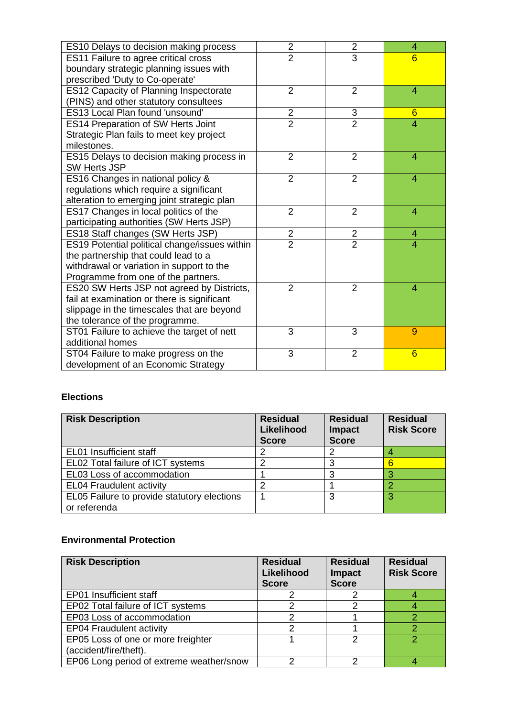| ES10 Delays to decision making process        | 2              | $\overline{2}$ | 4               |
|-----------------------------------------------|----------------|----------------|-----------------|
| <b>ES11 Failure to agree critical cross</b>   | $\overline{2}$ | 3              | $6\overline{6}$ |
| boundary strategic planning issues with       |                |                |                 |
| prescribed 'Duty to Co-operate'               |                |                |                 |
| <b>ES12 Capacity of Planning Inspectorate</b> | $\overline{2}$ | $\overline{2}$ | 4               |
| (PINS) and other statutory consultees         |                |                |                 |
| ES13 Local Plan found 'unsound'               | $\overline{2}$ | 3              | 6               |
| <b>ES14 Preparation of SW Herts Joint</b>     | $\overline{2}$ | $\overline{2}$ | 4               |
| Strategic Plan fails to meet key project      |                |                |                 |
| milestones.                                   |                |                |                 |
| ES15 Delays to decision making process in     | $\overline{2}$ | $\overline{2}$ | 4               |
| <b>SW Herts JSP</b>                           |                |                |                 |
| ES16 Changes in national policy &             | $\overline{2}$ | $\overline{2}$ | 4               |
| regulations which require a significant       |                |                |                 |
| alteration to emerging joint strategic plan   |                |                |                 |
| ES17 Changes in local politics of the         | $\overline{2}$ | $\overline{2}$ | $\overline{4}$  |
| participating authorities (SW Herts JSP)      |                |                |                 |
| ES18 Staff changes (SW Herts JSP)             | $\overline{2}$ | $\overline{2}$ | 4               |
| ES19 Potential political change/issues within | $\overline{2}$ | $\overline{2}$ | 4               |
| the partnership that could lead to a          |                |                |                 |
| withdrawal or variation in support to the     |                |                |                 |
| Programme from one of the partners.           |                |                |                 |
| ES20 SW Herts JSP not agreed by Districts,    | $\overline{2}$ | $\overline{2}$ | 4               |
| fail at examination or there is significant   |                |                |                 |
| slippage in the timescales that are beyond    |                |                |                 |
| the tolerance of the programme.               |                |                |                 |
| ST01 Failure to achieve the target of nett    | 3              | 3              | 9               |
| additional homes                              |                |                |                 |
| ST04 Failure to make progress on the          | 3              | $\overline{2}$ | $6\overline{6}$ |
| development of an Economic Strategy           |                |                |                 |

### **Elections**

| <b>Risk Description</b>                     | <b>Residual</b><br>Likelihood<br><b>Score</b> | <b>Residual</b><br>Impact<br><b>Score</b> | <b>Residual</b><br><b>Risk Score</b> |
|---------------------------------------------|-----------------------------------------------|-------------------------------------------|--------------------------------------|
| EL01 Insufficient staff                     |                                               | 2                                         |                                      |
| EL02 Total failure of ICT systems           |                                               | 3                                         | 6                                    |
| EL03 Loss of accommodation                  |                                               | 3                                         |                                      |
| <b>EL04 Fraudulent activity</b>             |                                               |                                           |                                      |
| EL05 Failure to provide statutory elections |                                               | 3                                         | 3                                    |
| or referenda                                |                                               |                                           |                                      |

## **Environmental Protection**

| <b>Risk Description</b>                  | <b>Residual</b><br>Likelihood<br><b>Score</b> | <b>Residual</b><br><b>Impact</b><br><b>Score</b> | <b>Residual</b><br><b>Risk Score</b> |
|------------------------------------------|-----------------------------------------------|--------------------------------------------------|--------------------------------------|
| <b>EP01</b> Insufficient staff           |                                               |                                                  |                                      |
| EP02 Total failure of ICT systems        |                                               |                                                  |                                      |
| EP03 Loss of accommodation               |                                               |                                                  |                                      |
| <b>EP04 Fraudulent activity</b>          |                                               |                                                  |                                      |
| EP05 Loss of one or more freighter       |                                               |                                                  |                                      |
| (accident/fire/theft).                   |                                               |                                                  |                                      |
| EP06 Long period of extreme weather/snow | ◠                                             |                                                  |                                      |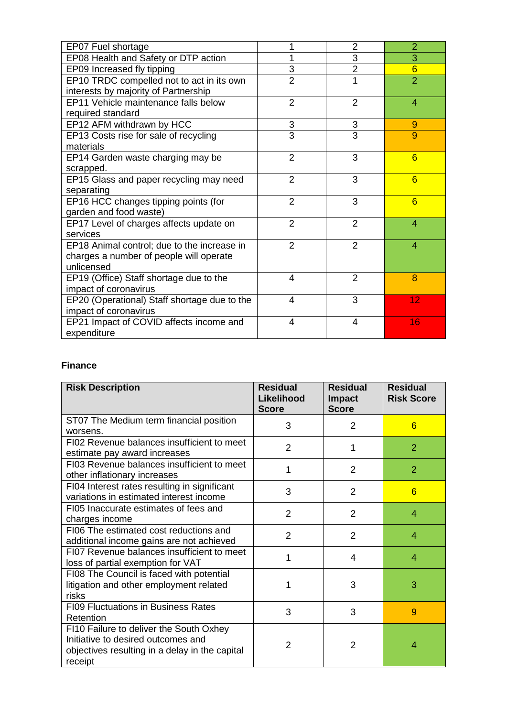| EP07 Fuel shortage                           |                | $\overline{2}$ | $\overline{2}$  |
|----------------------------------------------|----------------|----------------|-----------------|
| EP08 Health and Safety or DTP action         | 1              | 3              | 3               |
| EP09 Increased fly tipping                   | 3              | $\overline{2}$ | $6\overline{6}$ |
| EP10 TRDC compelled not to act in its own    | $\overline{2}$ | 1              | $\overline{2}$  |
| interests by majority of Partnership         |                |                |                 |
| EP11 Vehicle maintenance falls below         | $\overline{2}$ | 2              | 4               |
| required standard                            |                |                |                 |
| EP12 AFM withdrawn by HCC                    | 3              | 3              | 9               |
| EP13 Costs rise for sale of recycling        | 3              | $\overline{3}$ | 9               |
| materials                                    |                |                |                 |
| EP14 Garden waste charging may be            | $\overline{2}$ | 3              | $6\overline{6}$ |
| scrapped.                                    |                |                |                 |
| EP15 Glass and paper recycling may need      | $\overline{2}$ | 3              | $6\overline{6}$ |
| separating                                   |                |                |                 |
| EP16 HCC changes tipping points (for         | $\overline{2}$ | 3              | $6\overline{6}$ |
| garden and food waste)                       |                |                |                 |
| EP17 Level of charges affects update on      | $\overline{2}$ | $\overline{2}$ | 4               |
| services                                     |                |                |                 |
| EP18 Animal control; due to the increase in  | $\overline{2}$ | $\overline{2}$ | 4               |
| charges a number of people will operate      |                |                |                 |
| unlicensed                                   |                |                |                 |
| EP19 (Office) Staff shortage due to the      | 4              | $\overline{2}$ | 8               |
| impact of coronavirus                        |                |                |                 |
| EP20 (Operational) Staff shortage due to the | 4              | 3              | 12              |
| impact of coronavirus                        |                |                |                 |
| EP21 Impact of COVID affects income and      | $\overline{4}$ | 4              | 16              |
| expenditure                                  |                |                |                 |

#### **Finance**

| <b>Risk Description</b>                                                                                                                    | <b>Residual</b><br>Likelihood<br><b>Score</b> | <b>Residual</b><br><b>Impact</b><br><b>Score</b> | <b>Residual</b><br><b>Risk Score</b> |
|--------------------------------------------------------------------------------------------------------------------------------------------|-----------------------------------------------|--------------------------------------------------|--------------------------------------|
| ST07 The Medium term financial position<br>worsens.                                                                                        | 3                                             | 2                                                | 6                                    |
| FI02 Revenue balances insufficient to meet<br>estimate pay award increases                                                                 | 2                                             | 1                                                | $\overline{2}$                       |
| FI03 Revenue balances insufficient to meet<br>other inflationary increases                                                                 | 1                                             | 2                                                | $\overline{2}$                       |
| FI04 Interest rates resulting in significant<br>variations in estimated interest income                                                    | 3                                             | $\overline{2}$                                   | 6                                    |
| FI05 Inaccurate estimates of fees and<br>charges income                                                                                    | $\overline{2}$                                | 2                                                | 4                                    |
| FI06 The estimated cost reductions and<br>additional income gains are not achieved                                                         | $\overline{2}$                                | $\overline{2}$                                   | 4                                    |
| FI07 Revenue balances insufficient to meet<br>loss of partial exemption for VAT                                                            | 1                                             | 4                                                | 4                                    |
| FI08 The Council is faced with potential<br>litigation and other employment related<br>risks                                               | 1                                             | 3                                                | 3                                    |
| <b>FI09 Fluctuations in Business Rates</b><br>Retention                                                                                    | 3                                             | 3                                                | 9                                    |
| FI10 Failure to deliver the South Oxhey<br>Initiative to desired outcomes and<br>objectives resulting in a delay in the capital<br>receipt | 2                                             | 2                                                | 4                                    |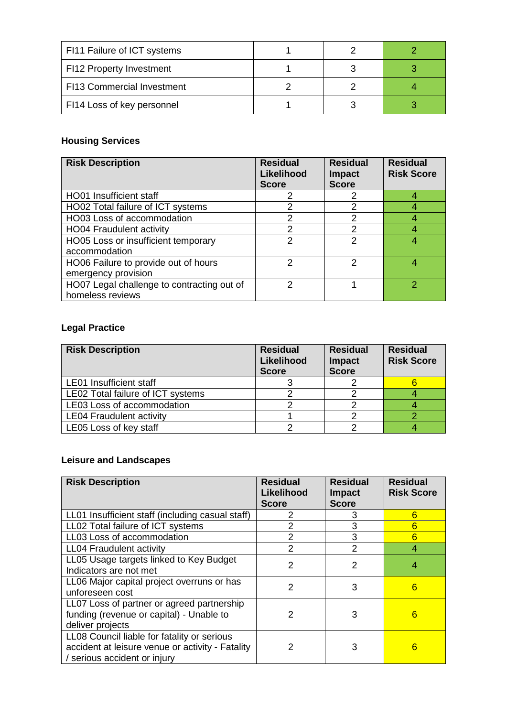| FI11 Failure of ICT systems       |  |  |
|-----------------------------------|--|--|
| FI12 Property Investment          |  |  |
| <b>FI13 Commercial Investment</b> |  |  |
| FI14 Loss of key personnel        |  |  |

## **Housing Services**

| <b>Risk Description</b>                                        | <b>Residual</b><br>Likelihood<br><b>Score</b> | <b>Residual</b><br><b>Impact</b><br><b>Score</b> | <b>Residual</b><br><b>Risk Score</b> |
|----------------------------------------------------------------|-----------------------------------------------|--------------------------------------------------|--------------------------------------|
| HO01 Insufficient staff                                        | 2                                             |                                                  |                                      |
| HO02 Total failure of ICT systems                              | 2                                             | 2                                                |                                      |
| HO03 Loss of accommodation                                     | 2                                             | っ                                                |                                      |
| <b>HO04 Fraudulent activity</b>                                | $\mathcal{P}$                                 | 2                                                | 4                                    |
| HO05 Loss or insufficient temporary<br>accommodation           | $\mathfrak{p}$                                | っ                                                |                                      |
| HO06 Failure to provide out of hours<br>emergency provision    | 2                                             | 2                                                | 4                                    |
| HO07 Legal challenge to contracting out of<br>homeless reviews | າ                                             |                                                  |                                      |

## **Legal Practice**

| <b>Risk Description</b>           | <b>Residual</b><br>Likelihood<br><b>Score</b> | <b>Residual</b><br><b>Impact</b><br><b>Score</b> | <b>Residual</b><br><b>Risk Score</b> |
|-----------------------------------|-----------------------------------------------|--------------------------------------------------|--------------------------------------|
| <b>LE01</b> Insufficient staff    |                                               |                                                  |                                      |
| LE02 Total failure of ICT systems |                                               |                                                  |                                      |
| LE03 Loss of accommodation        |                                               |                                                  |                                      |
| <b>LE04 Fraudulent activity</b>   |                                               |                                                  |                                      |
| LE05 Loss of key staff            |                                               |                                                  |                                      |

## **Leisure and Landscapes**

| <b>Risk Description</b>                                                                                                         | <b>Residual</b><br>Likelihood<br><b>Score</b> | <b>Residual</b><br><b>Impact</b><br><b>Score</b> | <b>Residual</b><br><b>Risk Score</b> |
|---------------------------------------------------------------------------------------------------------------------------------|-----------------------------------------------|--------------------------------------------------|--------------------------------------|
| LL01 Insufficient staff (including casual staff)                                                                                | 2                                             | З                                                | 6                                    |
| LL02 Total failure of ICT systems                                                                                               | $\overline{2}$                                | 3                                                | 6                                    |
| LL03 Loss of accommodation                                                                                                      | 2                                             | 3                                                | 6                                    |
| <b>LL04 Fraudulent activity</b>                                                                                                 | $\mathcal{P}$                                 | $\mathcal{P}$                                    | 4                                    |
| LL05 Usage targets linked to Key Budget<br>Indicators are not met                                                               | $\overline{2}$                                | 2                                                | 4                                    |
| LL06 Major capital project overruns or has<br>unforeseen cost                                                                   | $\mathcal{P}$                                 | 3                                                | 6                                    |
| LL07 Loss of partner or agreed partnership<br>funding (revenue or capital) - Unable to<br>deliver projects                      | 2                                             | 3                                                | 6                                    |
| LL08 Council liable for fatality or serious<br>accident at leisure venue or activity - Fatality<br>/ serious accident or injury | 2                                             | 3                                                | 6                                    |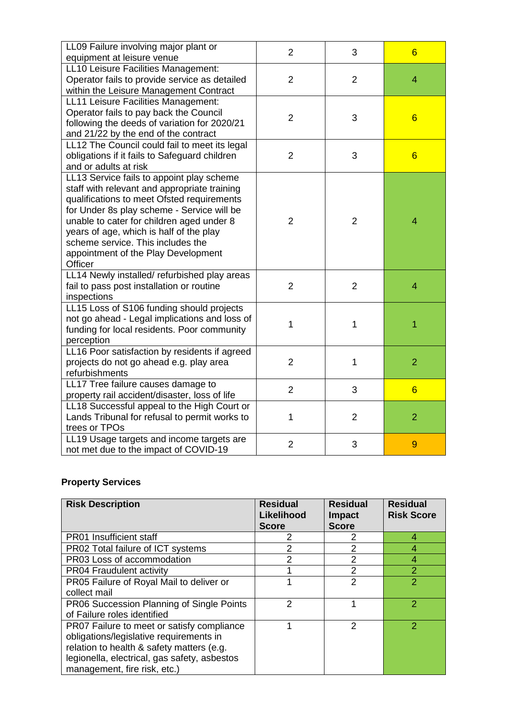| LL09 Failure involving major plant or<br>equipment at leisure venue                                                                                                                                                                                                                                                                                                  | $\overline{2}$ | 3              | $6\overline{6}$ |
|----------------------------------------------------------------------------------------------------------------------------------------------------------------------------------------------------------------------------------------------------------------------------------------------------------------------------------------------------------------------|----------------|----------------|-----------------|
| LL10 Leisure Facilities Management:<br>Operator fails to provide service as detailed<br>within the Leisure Management Contract                                                                                                                                                                                                                                       | $\overline{2}$ | $\overline{2}$ | $\overline{4}$  |
| LL11 Leisure Facilities Management:<br>Operator fails to pay back the Council<br>following the deeds of variation for 2020/21<br>and 21/22 by the end of the contract                                                                                                                                                                                                | $\overline{2}$ | 3              | $6\overline{6}$ |
| LL12 The Council could fail to meet its legal<br>obligations if it fails to Safeguard children<br>and or adults at risk                                                                                                                                                                                                                                              | $\overline{2}$ | 3              | $6\overline{6}$ |
| LL13 Service fails to appoint play scheme<br>staff with relevant and appropriate training<br>qualifications to meet Ofsted requirements<br>for Under 8s play scheme - Service will be<br>unable to cater for children aged under 8<br>years of age, which is half of the play<br>scheme service. This includes the<br>appointment of the Play Development<br>Officer | $\overline{2}$ | $\overline{2}$ | $\overline{4}$  |
| LL14 Newly installed/ refurbished play areas<br>fail to pass post installation or routine<br>inspections                                                                                                                                                                                                                                                             | $\overline{2}$ | $\overline{2}$ | $\overline{4}$  |
| LL15 Loss of S106 funding should projects<br>not go ahead - Legal implications and loss of<br>funding for local residents. Poor community<br>perception                                                                                                                                                                                                              | 1              | 1              | 1               |
| LL16 Poor satisfaction by residents if agreed<br>projects do not go ahead e.g. play area<br>refurbishments                                                                                                                                                                                                                                                           | $\overline{2}$ | 1              | $\overline{2}$  |
| LL17 Tree failure causes damage to<br>property rail accident/disaster, loss of life                                                                                                                                                                                                                                                                                  | $\overline{2}$ | 3              | $6\overline{6}$ |
| LL18 Successful appeal to the High Court or<br>Lands Tribunal for refusal to permit works to<br>trees or TPOs                                                                                                                                                                                                                                                        | 1              | $\overline{2}$ | $\overline{2}$  |
| LL19 Usage targets and income targets are<br>not met due to the impact of COVID-19                                                                                                                                                                                                                                                                                   | $\overline{2}$ | 3              | 9               |

## **Property Services**

| <b>Risk Description</b>                      | <b>Residual</b><br><b>Likelihood</b><br><b>Score</b> | <b>Residual</b><br><b>Impact</b><br><b>Score</b> | <b>Residual</b><br><b>Risk Score</b> |
|----------------------------------------------|------------------------------------------------------|--------------------------------------------------|--------------------------------------|
| <b>PR01</b> Insufficient staff               | 2                                                    |                                                  | 4                                    |
| PR02 Total failure of ICT systems            | 2                                                    | 2                                                | 4                                    |
| PR03 Loss of accommodation                   | $\mathcal{P}$                                        | $\overline{2}$                                   | 4                                    |
| <b>PR04 Fraudulent activity</b>              |                                                      | $\mathcal{P}$                                    | $\overline{2}$                       |
| PR05 Failure of Royal Mail to deliver or     |                                                      | $\mathcal{P}$                                    | $\overline{2}$                       |
| collect mail                                 |                                                      |                                                  |                                      |
| PR06 Succession Planning of Single Points    | $\mathcal{P}$                                        |                                                  | 2                                    |
| of Failure roles identified                  |                                                      |                                                  |                                      |
| PR07 Failure to meet or satisfy compliance   |                                                      | $\overline{2}$                                   | 2                                    |
| obligations/legislative requirements in      |                                                      |                                                  |                                      |
| relation to health & safety matters (e.g.    |                                                      |                                                  |                                      |
| legionella, electrical, gas safety, asbestos |                                                      |                                                  |                                      |
| management, fire risk, etc.)                 |                                                      |                                                  |                                      |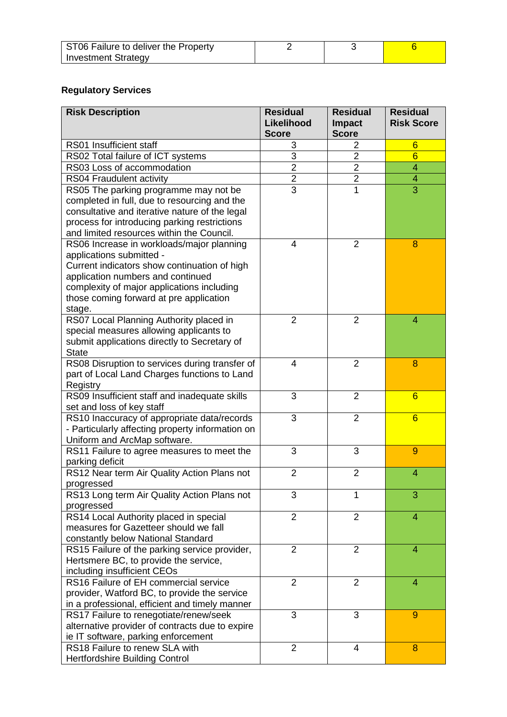| ST06 Failure to deliver the Property |  |  |
|--------------------------------------|--|--|
| <b>Investment Strategy</b>           |  |  |

## **Regulatory Services**

| <b>Risk Description</b>                                                                                                                                                                                          | <b>Residual</b><br>Likelihood<br><b>Score</b> | <b>Residual</b><br><b>Impact</b><br><b>Score</b> | <b>Residual</b><br><b>Risk Score</b> |
|------------------------------------------------------------------------------------------------------------------------------------------------------------------------------------------------------------------|-----------------------------------------------|--------------------------------------------------|--------------------------------------|
| RS01 Insufficient staff                                                                                                                                                                                          | 3                                             | $\overline{2}$                                   | $6\phantom{1}6$                      |
| RS02 Total failure of ICT systems                                                                                                                                                                                | $\overline{3}$                                | $\overline{2}$                                   | $6\overline{6}$                      |
| RS03 Loss of accommodation                                                                                                                                                                                       | $\overline{2}$                                | $\overline{2}$                                   | $\overline{\mathcal{A}}$             |
| RS04 Fraudulent activity                                                                                                                                                                                         | $\overline{2}$                                | $\overline{c}$                                   | 4                                    |
| RS05 The parking programme may not be                                                                                                                                                                            | $\overline{3}$                                | $\overline{1}$                                   | $\overline{3}$                       |
| completed in full, due to resourcing and the<br>consultative and iterative nature of the legal<br>process for introducing parking restrictions<br>and limited resources within the Council.                      |                                               |                                                  |                                      |
| RS06 Increase in workloads/major planning                                                                                                                                                                        | 4                                             | $\overline{2}$                                   | 8                                    |
| applications submitted -<br>Current indicators show continuation of high<br>application numbers and continued<br>complexity of major applications including<br>those coming forward at pre application<br>stage. |                                               |                                                  |                                      |
| RS07 Local Planning Authority placed in<br>special measures allowing applicants to<br>submit applications directly to Secretary of<br><b>State</b>                                                               | $\overline{2}$                                | $\overline{2}$                                   | 4                                    |
| RS08 Disruption to services during transfer of<br>part of Local Land Charges functions to Land<br>Registry                                                                                                       | $\overline{4}$                                | $\overline{2}$                                   | 8                                    |
| RS09 Insufficient staff and inadequate skills<br>set and loss of key staff                                                                                                                                       | 3                                             | $\overline{2}$                                   | $6\overline{6}$                      |
| RS10 Inaccuracy of appropriate data/records<br>- Particularly affecting property information on<br>Uniform and ArcMap software.                                                                                  | 3                                             | $\overline{2}$                                   | 6                                    |
| RS11 Failure to agree measures to meet the<br>parking deficit                                                                                                                                                    | 3                                             | 3                                                | 9                                    |
| RS12 Near term Air Quality Action Plans not<br>progressed                                                                                                                                                        | $\overline{2}$                                | $\overline{2}$                                   | 4                                    |
| RS13 Long term Air Quality Action Plans not<br>progressed                                                                                                                                                        | 3                                             | 1                                                | 3                                    |
| RS14 Local Authority placed in special<br>measures for Gazetteer should we fall<br>constantly below National Standard                                                                                            | $\overline{2}$                                | $\overline{2}$                                   | 4                                    |
| RS15 Failure of the parking service provider,<br>Hertsmere BC, to provide the service,<br>including insufficient CEOs                                                                                            | $\overline{2}$                                | $\overline{2}$                                   | 4                                    |
| RS16 Failure of EH commercial service<br>provider, Watford BC, to provide the service<br>in a professional, efficient and timely manner                                                                          | $\overline{2}$                                | $\overline{2}$                                   | 4                                    |
| RS17 Failure to renegotiate/renew/seek<br>alternative provider of contracts due to expire<br>ie IT software, parking enforcement                                                                                 | 3                                             | 3                                                | 9                                    |
| RS18 Failure to renew SLA with<br><b>Hertfordshire Building Control</b>                                                                                                                                          | $\overline{2}$                                | 4                                                | 8                                    |